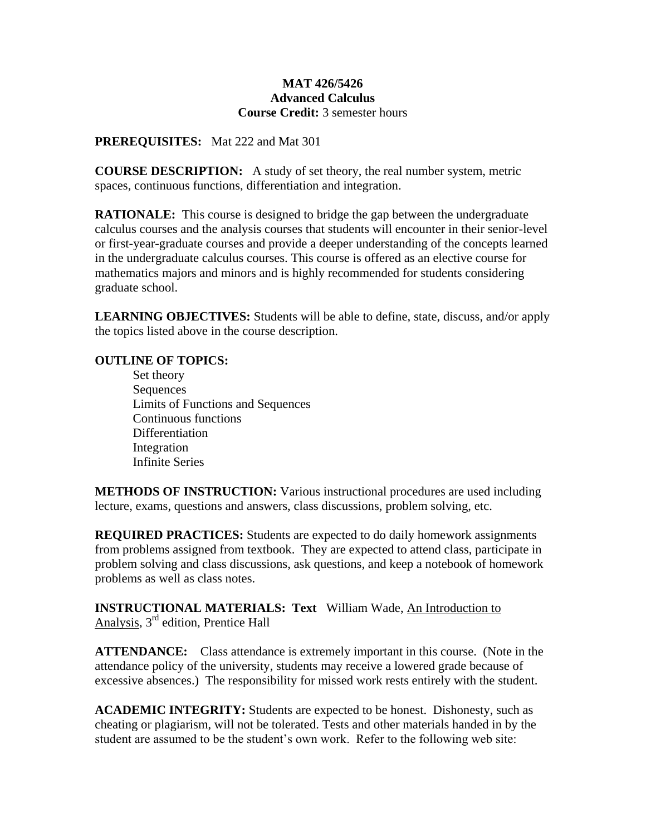## **MAT 426/5426 Advanced Calculus Course Credit:** 3 semester hours

**PREREQUISITES:** Mat 222 and Mat 301

**COURSE DESCRIPTION:** A study of set theory, the real number system, metric spaces, continuous functions, differentiation and integration.

**RATIONALE:** This course is designed to bridge the gap between the undergraduate calculus courses and the analysis courses that students will encounter in their senior-level or first-year-graduate courses and provide a deeper understanding of the concepts learned in the undergraduate calculus courses. This course is offered as an elective course for mathematics majors and minors and is highly recommended for students considering graduate school.

**LEARNING OBJECTIVES:** Students will be able to define, state, discuss, and/or apply the topics listed above in the course description.

## **OUTLINE OF TOPICS:**

Set theory Sequences Limits of Functions and Sequences Continuous functions Differentiation Integration Infinite Series

**METHODS OF INSTRUCTION:** Various instructional procedures are used including lecture, exams, questions and answers, class discussions, problem solving, etc.

**REQUIRED PRACTICES:** Students are expected to do daily homework assignments from problems assigned from textbook. They are expected to attend class, participate in problem solving and class discussions, ask questions, and keep a notebook of homework problems as well as class notes.

**INSTRUCTIONAL MATERIALS: Text** William Wade, An Introduction to Analysis, 3rd edition, Prentice Hall

**ATTENDANCE:**Class attendance is extremely important in this course. (Note in the attendance policy of the university, students may receive a lowered grade because of excessive absences.) The responsibility for missed work rests entirely with the student.

**ACADEMIC INTEGRITY:** Students are expected to be honest. Dishonesty, such as cheating or plagiarism, will not be tolerated. Tests and other materials handed in by the student are assumed to be the student's own work. Refer to the following web site: